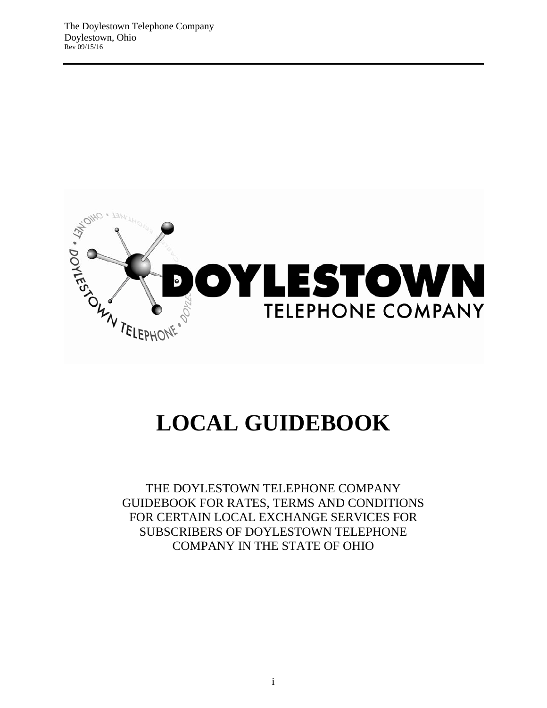

# **LOCAL GUIDEBOOK**

THE DOYLESTOWN TELEPHONE COMPANY GUIDEBOOK FOR RATES, TERMS AND CONDITIONS FOR CERTAIN LOCAL EXCHANGE SERVICES FOR SUBSCRIBERS OF DOYLESTOWN TELEPHONE COMPANY IN THE STATE OF OHIO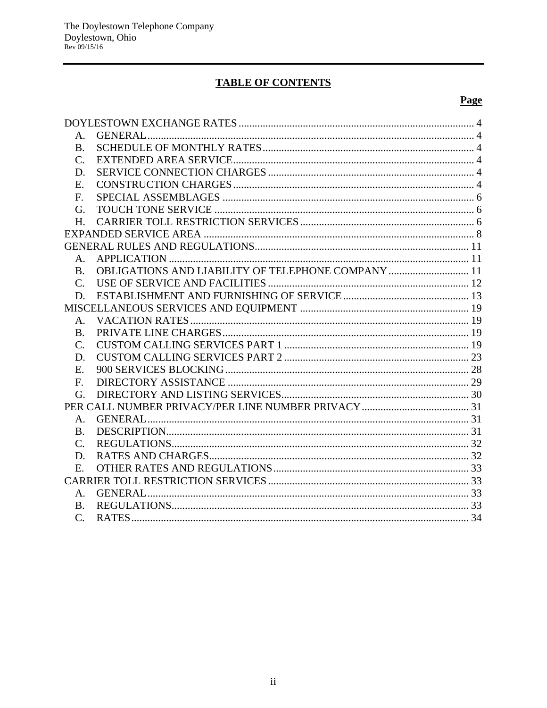# **TABLE OF CONTENTS**

# **Page**

| Α.              |                                                    |  |
|-----------------|----------------------------------------------------|--|
| <b>B.</b>       |                                                    |  |
| C.              |                                                    |  |
| D.              |                                                    |  |
| Ε.              |                                                    |  |
| F.              |                                                    |  |
| G.              |                                                    |  |
| H.              |                                                    |  |
|                 |                                                    |  |
|                 |                                                    |  |
| $A_{\cdot}$     |                                                    |  |
| <b>B.</b>       | OBLIGATIONS AND LIABILITY OF TELEPHONE COMPANY  11 |  |
| $\mathcal{C}$ . |                                                    |  |
| D.              |                                                    |  |
|                 |                                                    |  |
| Α.              |                                                    |  |
| <b>B.</b>       |                                                    |  |
| $\mathbf{C}$ .  |                                                    |  |
| D.              |                                                    |  |
| E.              |                                                    |  |
| $F_{\cdot}$     |                                                    |  |
| G.              |                                                    |  |
|                 |                                                    |  |
| A.              |                                                    |  |
| B.              |                                                    |  |
| C.              |                                                    |  |
| D.              |                                                    |  |
| Е.              |                                                    |  |
|                 |                                                    |  |
| $A_{-}$         |                                                    |  |
| <b>B.</b>       |                                                    |  |
| $\mathcal{C}$ . |                                                    |  |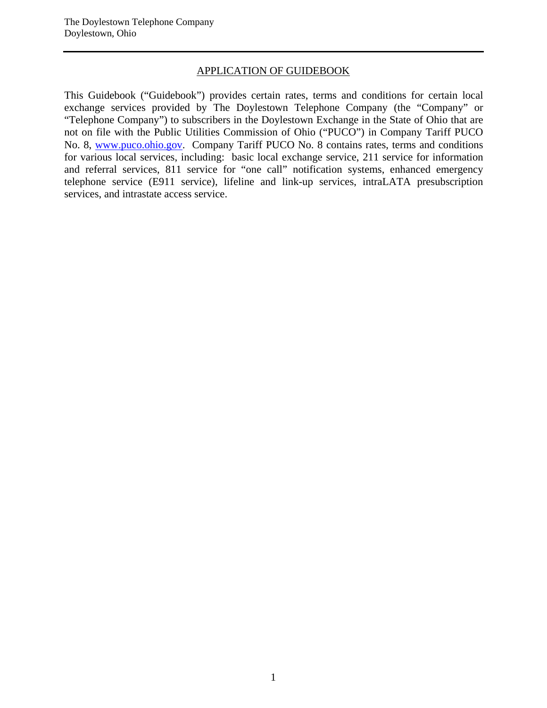#### APPLICATION OF GUIDEBOOK

This Guidebook ("Guidebook") provides certain rates, terms and conditions for certain local exchange services provided by The Doylestown Telephone Company (the "Company" or "Telephone Company") to subscribers in the Doylestown Exchange in the State of Ohio that are not on file with the Public Utilities Commission of Ohio ("PUCO") in Company Tariff PUCO No. 8, www.puco.ohio.gov. Company Tariff PUCO No. 8 contains rates, terms and conditions for various local services, including: basic local exchange service, 211 service for information and referral services, 811 service for "one call" notification systems, enhanced emergency telephone service (E911 service), lifeline and link-up services, intraLATA presubscription services, and intrastate access service.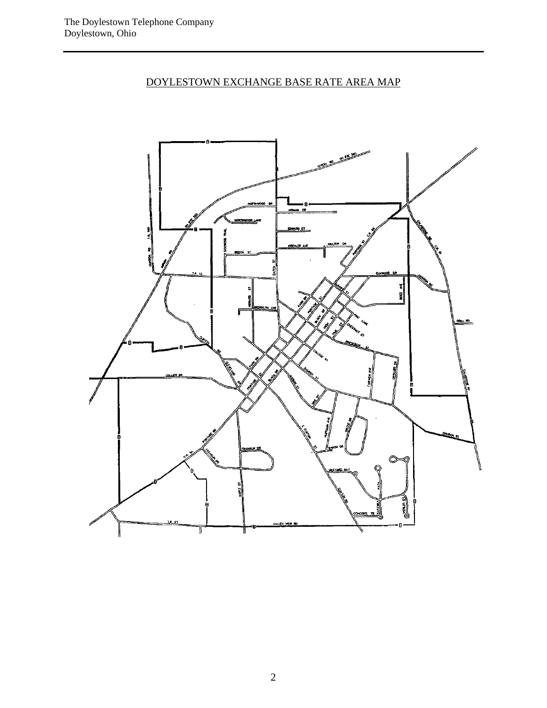# DOYLESTOWN EXCHANGE BASE RATE AREA MAP

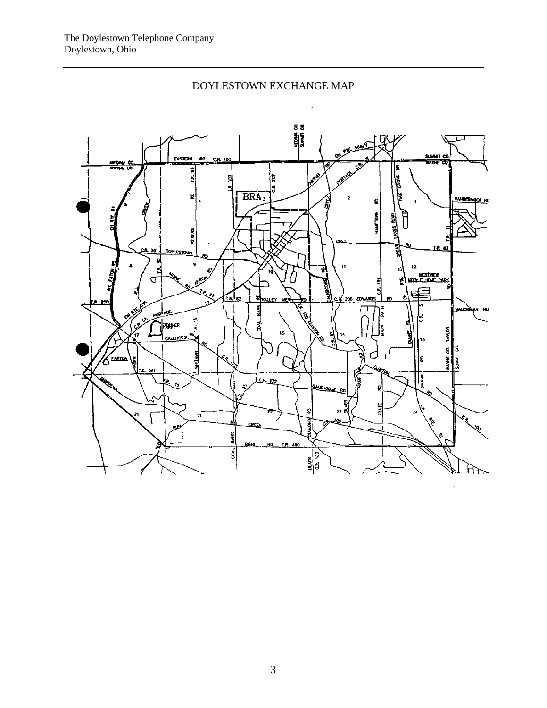# DOYLESTOWN EXCHANGE MAP

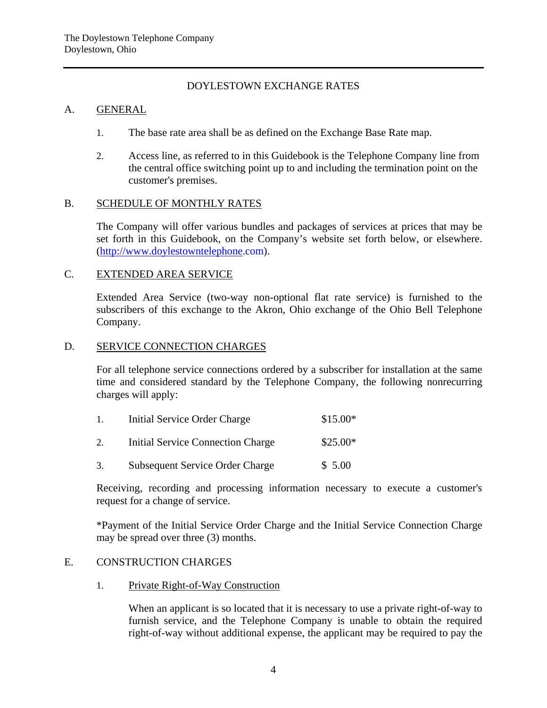# DOYLESTOWN EXCHANGE RATES

#### A. GENERAL

- 1. The base rate area shall be as defined on the Exchange Base Rate map.
- 2. Access line, as referred to in this Guidebook is the Telephone Company line from the central office switching point up to and including the termination point on the customer's premises.

#### B. SCHEDULE OF MONTHLY RATES

The Company will offer various bundles and packages of services at prices that may be set forth in this Guidebook, on the Company's website set forth below, or elsewhere. (http://www.doylestowntelephone.com).

# C. EXTENDED AREA SERVICE

Extended Area Service (two-way non-optional flat rate service) is furnished to the subscribers of this exchange to the Akron, Ohio exchange of the Ohio Bell Telephone Company.

#### D. SERVICE CONNECTION CHARGES

For all telephone service connections ordered by a subscriber for installation at the same time and considered standard by the Telephone Company, the following nonrecurring charges will apply:

| $\mathbf{1}$ . | Initial Service Order Charge           | $$15.00*$ |
|----------------|----------------------------------------|-----------|
|                | Initial Service Connection Charge      | $$25.00*$ |
| 3.             | <b>Subsequent Service Order Charge</b> | \$5.00    |

Receiving, recording and processing information necessary to execute a customer's request for a change of service.

\*Payment of the Initial Service Order Charge and the Initial Service Connection Charge may be spread over three (3) months.

# E. CONSTRUCTION CHARGES

1. Private Right-of-Way Construction

When an applicant is so located that it is necessary to use a private right-of-way to furnish service, and the Telephone Company is unable to obtain the required right-of-way without additional expense, the applicant may be required to pay the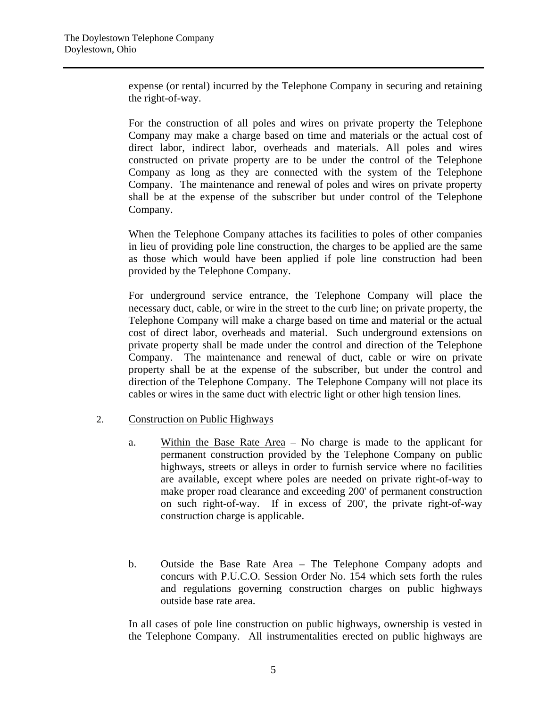expense (or rental) incurred by the Telephone Company in securing and retaining the right-of-way.

For the construction of all poles and wires on private property the Telephone Company may make a charge based on time and materials or the actual cost of direct labor, indirect labor, overheads and materials. All poles and wires constructed on private property are to be under the control of the Telephone Company as long as they are connected with the system of the Telephone Company. The maintenance and renewal of poles and wires on private property shall be at the expense of the subscriber but under control of the Telephone Company.

When the Telephone Company attaches its facilities to poles of other companies in lieu of providing pole line construction, the charges to be applied are the same as those which would have been applied if pole line construction had been provided by the Telephone Company.

For underground service entrance, the Telephone Company will place the necessary duct, cable, or wire in the street to the curb line; on private property, the Telephone Company will make a charge based on time and material or the actual cost of direct labor, overheads and material. Such underground extensions on private property shall be made under the control and direction of the Telephone Company. The maintenance and renewal of duct, cable or wire on private property shall be at the expense of the subscriber, but under the control and direction of the Telephone Company. The Telephone Company will not place its cables or wires in the same duct with electric light or other high tension lines.

#### 2. Construction on Public Highways

- a. Within the Base Rate Area No charge is made to the applicant for permanent construction provided by the Telephone Company on public highways, streets or alleys in order to furnish service where no facilities are available, except where poles are needed on private right-of-way to make proper road clearance and exceeding 200' of permanent construction on such right-of-way. If in excess of 200', the private right-of-way construction charge is applicable.
- b. Outside the Base Rate Area The Telephone Company adopts and concurs with P.U.C.O. Session Order No. 154 which sets forth the rules and regulations governing construction charges on public highways outside base rate area.

In all cases of pole line construction on public highways, ownership is vested in the Telephone Company. All instrumentalities erected on public highways are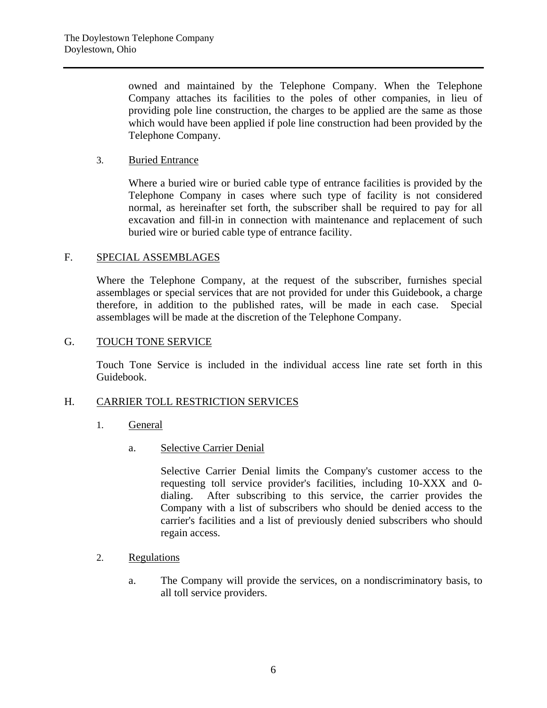owned and maintained by the Telephone Company. When the Telephone Company attaches its facilities to the poles of other companies, in lieu of providing pole line construction, the charges to be applied are the same as those which would have been applied if pole line construction had been provided by the Telephone Company.

# 3. Buried Entrance

Where a buried wire or buried cable type of entrance facilities is provided by the Telephone Company in cases where such type of facility is not considered normal, as hereinafter set forth, the subscriber shall be required to pay for all excavation and fill-in in connection with maintenance and replacement of such buried wire or buried cable type of entrance facility.

#### F. SPECIAL ASSEMBLAGES

Where the Telephone Company, at the request of the subscriber, furnishes special assemblages or special services that are not provided for under this Guidebook, a charge therefore, in addition to the published rates, will be made in each case. Special assemblages will be made at the discretion of the Telephone Company.

# G. TOUCH TONE SERVICE

Touch Tone Service is included in the individual access line rate set forth in this Guidebook.

#### H. CARRIER TOLL RESTRICTION SERVICES

- 1. General
	- a. Selective Carrier Denial

Selective Carrier Denial limits the Company's customer access to the requesting toll service provider's facilities, including 10-XXX and 0 dialing. After subscribing to this service, the carrier provides the Company with a list of subscribers who should be denied access to the carrier's facilities and a list of previously denied subscribers who should regain access.

- 2. Regulations
	- a. The Company will provide the services, on a nondiscriminatory basis, to all toll service providers.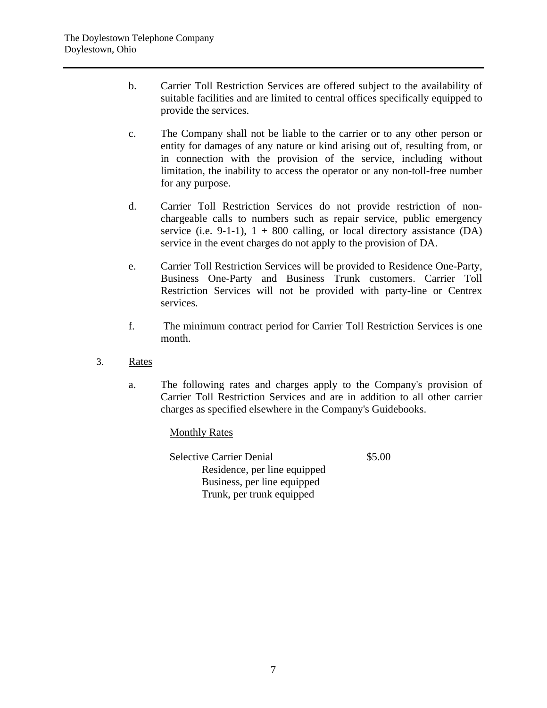- b. Carrier Toll Restriction Services are offered subject to the availability of suitable facilities and are limited to central offices specifically equipped to provide the services.
- c. The Company shall not be liable to the carrier or to any other person or entity for damages of any nature or kind arising out of, resulting from, or in connection with the provision of the service, including without limitation, the inability to access the operator or any non-toll-free number for any purpose.
- d. Carrier Toll Restriction Services do not provide restriction of nonchargeable calls to numbers such as repair service, public emergency service (i.e. 9-1-1),  $1 + 800$  calling, or local directory assistance (DA) service in the event charges do not apply to the provision of DA.
- e. Carrier Toll Restriction Services will be provided to Residence One-Party, Business One-Party and Business Trunk customers. Carrier Toll Restriction Services will not be provided with party-line or Centrex services.
- f. The minimum contract period for Carrier Toll Restriction Services is one month.
- 3. Rates
	- a. The following rates and charges apply to the Company's provision of Carrier Toll Restriction Services and are in addition to all other carrier charges as specified elsewhere in the Company's Guidebooks.

#### Monthly Rates

 Selective Carrier Denial Residence, per line equipped Business, per line equipped Trunk, per trunk equipped \$5.00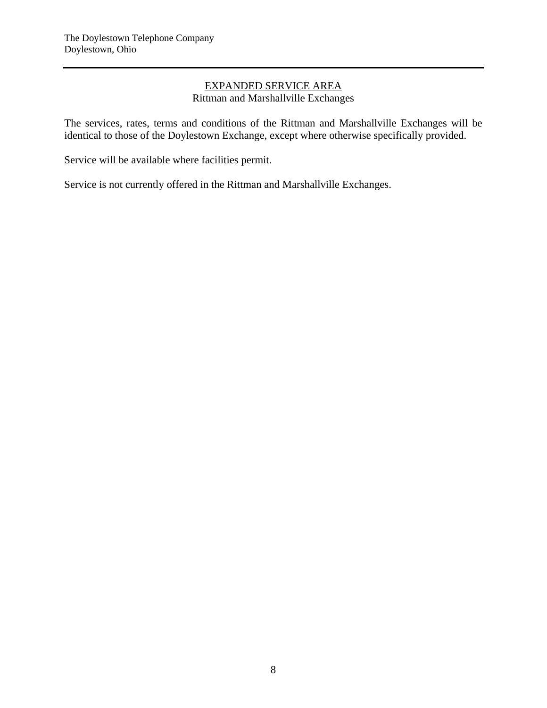# EXPANDED SERVICE AREA Rittman and Marshallville Exchanges

The services, rates, terms and conditions of the Rittman and Marshallville Exchanges will be identical to those of the Doylestown Exchange, except where otherwise specifically provided.

Service will be available where facilities permit.

Service is not currently offered in the Rittman and Marshallville Exchanges.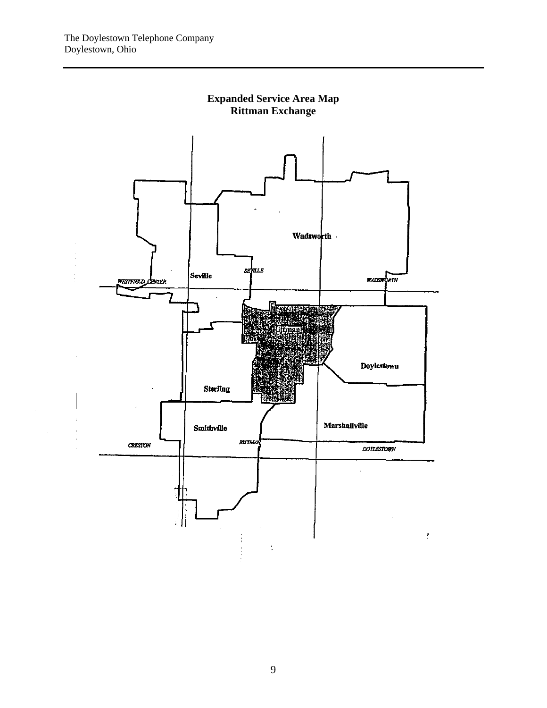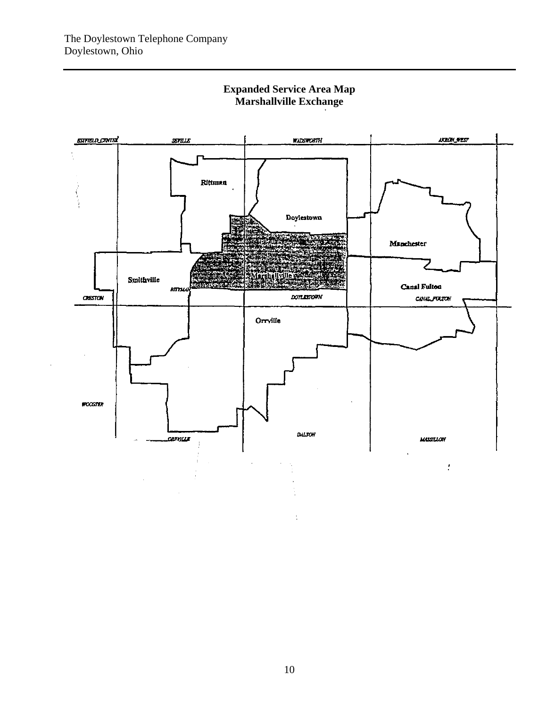

# **Expanded Service Area Map Marshallville Exchange**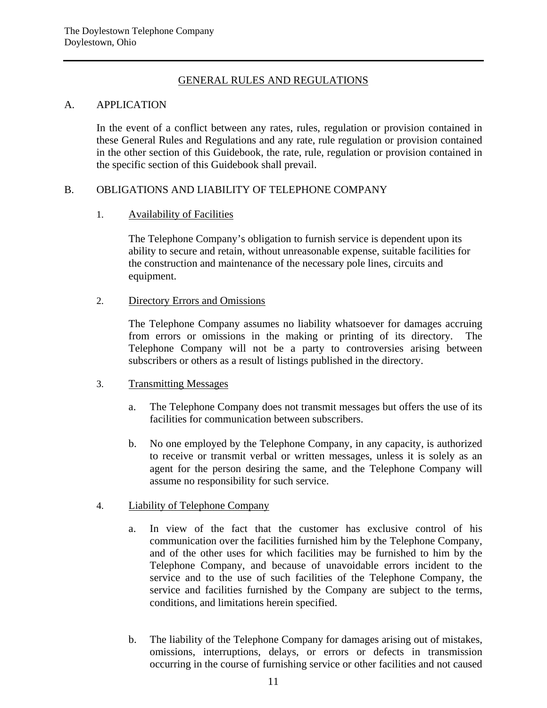# GENERAL RULES AND REGULATIONS

# A. APPLICATION

In the event of a conflict between any rates, rules, regulation or provision contained in these General Rules and Regulations and any rate, rule regulation or provision contained in the other section of this Guidebook, the rate, rule, regulation or provision contained in the specific section of this Guidebook shall prevail.

# B. OBLIGATIONS AND LIABILITY OF TELEPHONE COMPANY

# 1. Availability of Facilities

The Telephone Company's obligation to furnish service is dependent upon its ability to secure and retain, without unreasonable expense, suitable facilities for the construction and maintenance of the necessary pole lines, circuits and equipment.

# 2. Directory Errors and Omissions

The Telephone Company assumes no liability whatsoever for damages accruing from errors or omissions in the making or printing of its directory. The Telephone Company will not be a party to controversies arising between subscribers or others as a result of listings published in the directory.

#### 3. Transmitting Messages

- a. The Telephone Company does not transmit messages but offers the use of its facilities for communication between subscribers.
- b. No one employed by the Telephone Company, in any capacity, is authorized to receive or transmit verbal or written messages, unless it is solely as an agent for the person desiring the same, and the Telephone Company will assume no responsibility for such service.

# 4. Liability of Telephone Company

- a. In view of the fact that the customer has exclusive control of his communication over the facilities furnished him by the Telephone Company, and of the other uses for which facilities may be furnished to him by the Telephone Company, and because of unavoidable errors incident to the service and to the use of such facilities of the Telephone Company, the service and facilities furnished by the Company are subject to the terms, conditions, and limitations herein specified.
- b. The liability of the Telephone Company for damages arising out of mistakes, omissions, interruptions, delays, or errors or defects in transmission occurring in the course of furnishing service or other facilities and not caused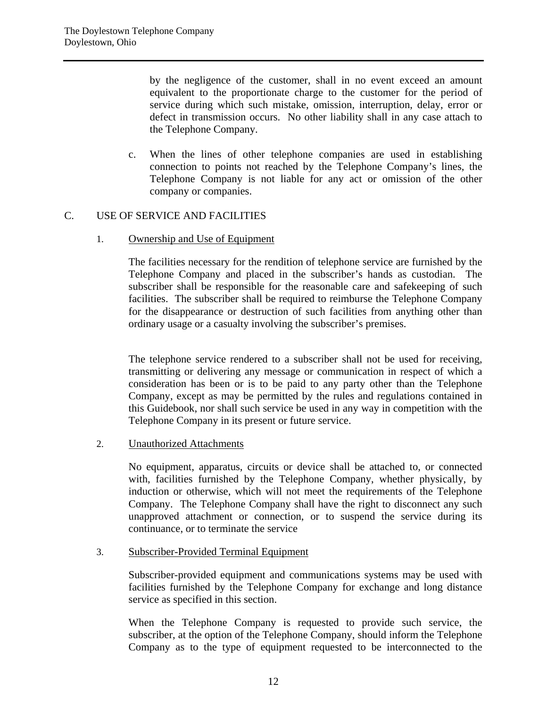by the negligence of the customer, shall in no event exceed an amount equivalent to the proportionate charge to the customer for the period of service during which such mistake, omission, interruption, delay, error or defect in transmission occurs. No other liability shall in any case attach to the Telephone Company.

c. When the lines of other telephone companies are used in establishing connection to points not reached by the Telephone Company's lines, the Telephone Company is not liable for any act or omission of the other company or companies.

# C. USE OF SERVICE AND FACILITIES

1. Ownership and Use of Equipment

The facilities necessary for the rendition of telephone service are furnished by the Telephone Company and placed in the subscriber's hands as custodian. The subscriber shall be responsible for the reasonable care and safekeeping of such facilities. The subscriber shall be required to reimburse the Telephone Company for the disappearance or destruction of such facilities from anything other than ordinary usage or a casualty involving the subscriber's premises.

The telephone service rendered to a subscriber shall not be used for receiving, transmitting or delivering any message or communication in respect of which a consideration has been or is to be paid to any party other than the Telephone Company, except as may be permitted by the rules and regulations contained in this Guidebook, nor shall such service be used in any way in competition with the Telephone Company in its present or future service.

2. Unauthorized Attachments

No equipment, apparatus, circuits or device shall be attached to, or connected with, facilities furnished by the Telephone Company, whether physically, by induction or otherwise, which will not meet the requirements of the Telephone Company. The Telephone Company shall have the right to disconnect any such unapproved attachment or connection, or to suspend the service during its continuance, or to terminate the service

#### 3. Subscriber-Provided Terminal Equipment

Subscriber-provided equipment and communications systems may be used with facilities furnished by the Telephone Company for exchange and long distance service as specified in this section.

When the Telephone Company is requested to provide such service, the subscriber, at the option of the Telephone Company, should inform the Telephone Company as to the type of equipment requested to be interconnected to the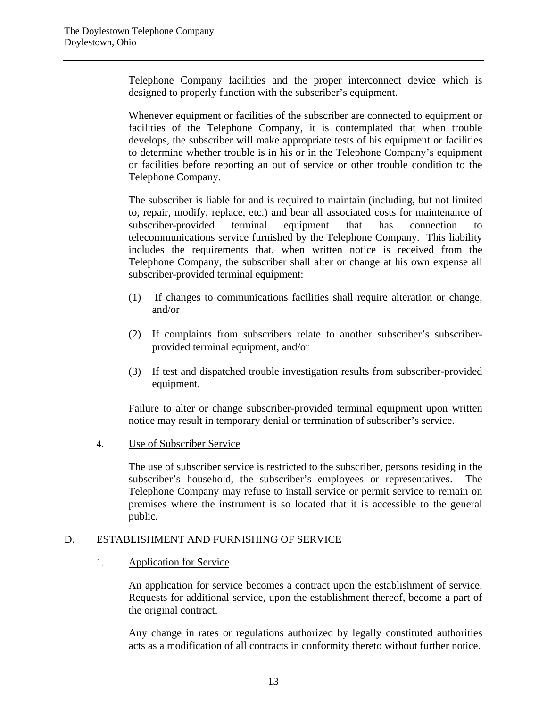Telephone Company facilities and the proper interconnect device which is designed to properly function with the subscriber's equipment.

Whenever equipment or facilities of the subscriber are connected to equipment or facilities of the Telephone Company, it is contemplated that when trouble develops, the subscriber will make appropriate tests of his equipment or facilities to determine whether trouble is in his or in the Telephone Company's equipment or facilities before reporting an out of service or other trouble condition to the Telephone Company.

The subscriber is liable for and is required to maintain (including, but not limited to, repair, modify, replace, etc.) and bear all associated costs for maintenance of subscriber-provided terminal equipment that has connection to telecommunications service furnished by the Telephone Company. This liability includes the requirements that, when written notice is received from the Telephone Company, the subscriber shall alter or change at his own expense all subscriber-provided terminal equipment:

- (1) If changes to communications facilities shall require alteration or change, and/or
- (2) If complaints from subscribers relate to another subscriber's subscriberprovided terminal equipment, and/or
- (3) If test and dispatched trouble investigation results from subscriber-provided equipment.

Failure to alter or change subscriber-provided terminal equipment upon written notice may result in temporary denial or termination of subscriber's service.

4. Use of Subscriber Service

The use of subscriber service is restricted to the subscriber, persons residing in the subscriber's household, the subscriber's employees or representatives. The Telephone Company may refuse to install service or permit service to remain on premises where the instrument is so located that it is accessible to the general public.

# D. ESTABLISHMENT AND FURNISHING OF SERVICE

1. Application for Service

An application for service becomes a contract upon the establishment of service. Requests for additional service, upon the establishment thereof, become a part of the original contract.

Any change in rates or regulations authorized by legally constituted authorities acts as a modification of all contracts in conformity thereto without further notice.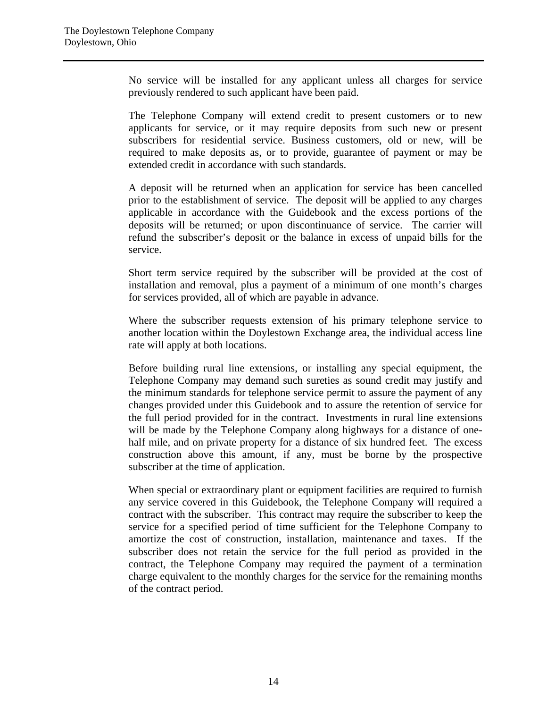No service will be installed for any applicant unless all charges for service previously rendered to such applicant have been paid.

The Telephone Company will extend credit to present customers or to new applicants for service, or it may require deposits from such new or present subscribers for residential service. Business customers, old or new, will be required to make deposits as, or to provide, guarantee of payment or may be extended credit in accordance with such standards.

A deposit will be returned when an application for service has been cancelled prior to the establishment of service. The deposit will be applied to any charges applicable in accordance with the Guidebook and the excess portions of the deposits will be returned; or upon discontinuance of service. The carrier will refund the subscriber's deposit or the balance in excess of unpaid bills for the service.

Short term service required by the subscriber will be provided at the cost of installation and removal, plus a payment of a minimum of one month's charges for services provided, all of which are payable in advance.

Where the subscriber requests extension of his primary telephone service to another location within the Doylestown Exchange area, the individual access line rate will apply at both locations.

Before building rural line extensions, or installing any special equipment, the Telephone Company may demand such sureties as sound credit may justify and the minimum standards for telephone service permit to assure the payment of any changes provided under this Guidebook and to assure the retention of service for the full period provided for in the contract. Investments in rural line extensions will be made by the Telephone Company along highways for a distance of onehalf mile, and on private property for a distance of six hundred feet. The excess construction above this amount, if any, must be borne by the prospective subscriber at the time of application.

When special or extraordinary plant or equipment facilities are required to furnish any service covered in this Guidebook, the Telephone Company will required a contract with the subscriber. This contract may require the subscriber to keep the service for a specified period of time sufficient for the Telephone Company to amortize the cost of construction, installation, maintenance and taxes. If the subscriber does not retain the service for the full period as provided in the contract, the Telephone Company may required the payment of a termination charge equivalent to the monthly charges for the service for the remaining months of the contract period.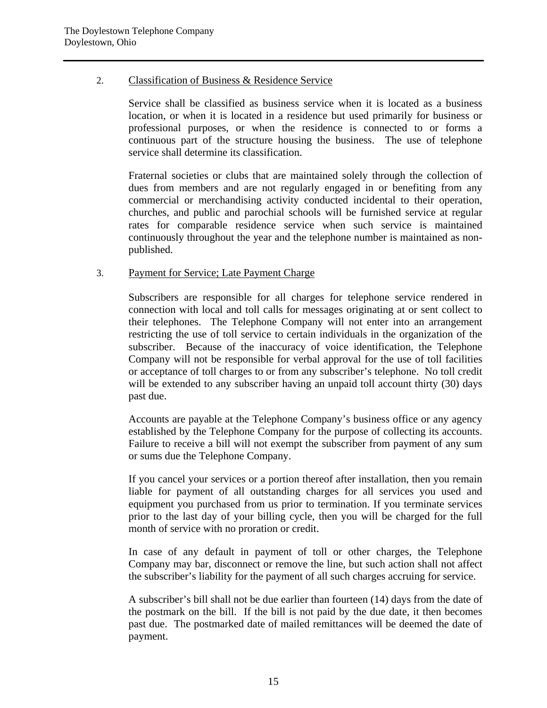# 2. Classification of Business & Residence Service

Service shall be classified as business service when it is located as a business location, or when it is located in a residence but used primarily for business or professional purposes, or when the residence is connected to or forms a continuous part of the structure housing the business. The use of telephone service shall determine its classification.

Fraternal societies or clubs that are maintained solely through the collection of dues from members and are not regularly engaged in or benefiting from any commercial or merchandising activity conducted incidental to their operation, churches, and public and parochial schools will be furnished service at regular rates for comparable residence service when such service is maintained continuously throughout the year and the telephone number is maintained as nonpublished.

# 3. Payment for Service; Late Payment Charge

Subscribers are responsible for all charges for telephone service rendered in connection with local and toll calls for messages originating at or sent collect to their telephones. The Telephone Company will not enter into an arrangement restricting the use of toll service to certain individuals in the organization of the subscriber. Because of the inaccuracy of voice identification, the Telephone Company will not be responsible for verbal approval for the use of toll facilities or acceptance of toll charges to or from any subscriber's telephone. No toll credit will be extended to any subscriber having an unpaid toll account thirty (30) days past due.

Accounts are payable at the Telephone Company's business office or any agency established by the Telephone Company for the purpose of collecting its accounts. Failure to receive a bill will not exempt the subscriber from payment of any sum or sums due the Telephone Company.

If you cancel your services or a portion thereof after installation, then you remain liable for payment of all outstanding charges for all services you used and equipment you purchased from us prior to termination. If you terminate services prior to the last day of your billing cycle, then you will be charged for the full month of service with no proration or credit.

In case of any default in payment of toll or other charges, the Telephone Company may bar, disconnect or remove the line, but such action shall not affect the subscriber's liability for the payment of all such charges accruing for service.

A subscriber's bill shall not be due earlier than fourteen (14) days from the date of the postmark on the bill. If the bill is not paid by the due date, it then becomes past due. The postmarked date of mailed remittances will be deemed the date of payment.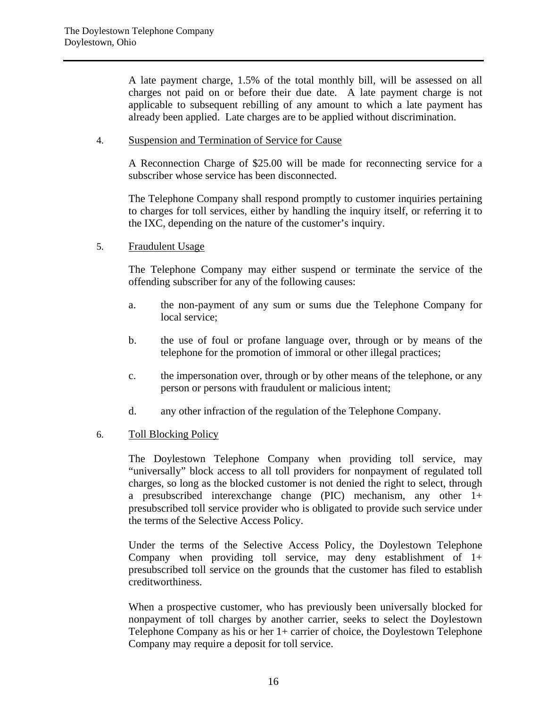A late payment charge, 1.5% of the total monthly bill, will be assessed on all charges not paid on or before their due date. A late payment charge is not applicable to subsequent rebilling of any amount to which a late payment has already been applied. Late charges are to be applied without discrimination.

# 4. Suspension and Termination of Service for Cause

A Reconnection Charge of \$25.00 will be made for reconnecting service for a subscriber whose service has been disconnected.

The Telephone Company shall respond promptly to customer inquiries pertaining to charges for toll services, either by handling the inquiry itself, or referring it to the IXC, depending on the nature of the customer's inquiry.

5. Fraudulent Usage

The Telephone Company may either suspend or terminate the service of the offending subscriber for any of the following causes:

- a. the non-payment of any sum or sums due the Telephone Company for local service;
- b. the use of foul or profane language over, through or by means of the telephone for the promotion of immoral or other illegal practices;
- c. the impersonation over, through or by other means of the telephone, or any person or persons with fraudulent or malicious intent;
- d. any other infraction of the regulation of the Telephone Company.

#### 6. Toll Blocking Policy

The Doylestown Telephone Company when providing toll service, may "universally" block access to all toll providers for nonpayment of regulated toll charges, so long as the blocked customer is not denied the right to select, through a presubscribed interexchange change (PIC) mechanism, any other 1+ presubscribed toll service provider who is obligated to provide such service under the terms of the Selective Access Policy.

Under the terms of the Selective Access Policy, the Doylestown Telephone Company when providing toll service, may deny establishment of 1+ presubscribed toll service on the grounds that the customer has filed to establish creditworthiness.

When a prospective customer, who has previously been universally blocked for nonpayment of toll charges by another carrier, seeks to select the Doylestown Telephone Company as his or her 1+ carrier of choice, the Doylestown Telephone Company may require a deposit for toll service.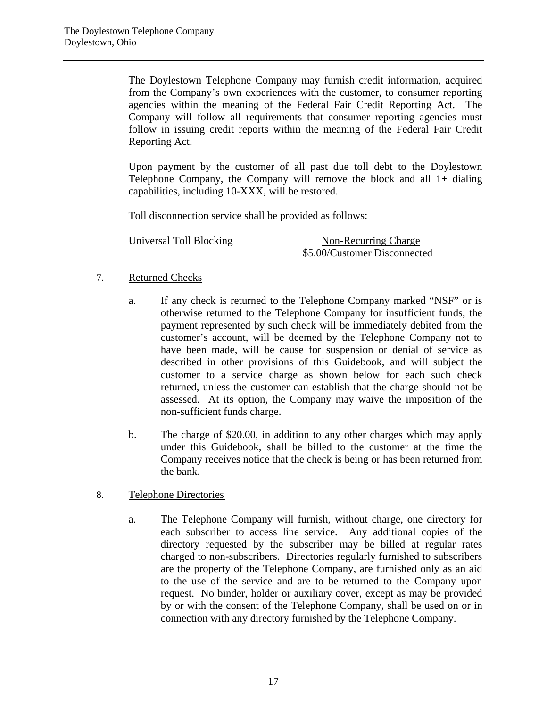The Doylestown Telephone Company may furnish credit information, acquired from the Company's own experiences with the customer, to consumer reporting agencies within the meaning of the Federal Fair Credit Reporting Act. The Company will follow all requirements that consumer reporting agencies must follow in issuing credit reports within the meaning of the Federal Fair Credit Reporting Act.

Upon payment by the customer of all past due toll debt to the Doylestown Telephone Company, the Company will remove the block and all 1+ dialing capabilities, including 10-XXX, will be restored.

Toll disconnection service shall be provided as follows:

Universal Toll Blocking Non-Recurring Charge \$5.00/Customer Disconnected

# 7. Returned Checks

- a. If any check is returned to the Telephone Company marked "NSF" or is otherwise returned to the Telephone Company for insufficient funds, the payment represented by such check will be immediately debited from the customer's account, will be deemed by the Telephone Company not to have been made, will be cause for suspension or denial of service as described in other provisions of this Guidebook, and will subject the customer to a service charge as shown below for each such check returned, unless the customer can establish that the charge should not be assessed. At its option, the Company may waive the imposition of the non-sufficient funds charge.
- b. The charge of \$20.00, in addition to any other charges which may apply under this Guidebook, shall be billed to the customer at the time the Company receives notice that the check is being or has been returned from the bank.
- 8. Telephone Directories
	- a. The Telephone Company will furnish, without charge, one directory for each subscriber to access line service. Any additional copies of the directory requested by the subscriber may be billed at regular rates charged to non-subscribers. Directories regularly furnished to subscribers are the property of the Telephone Company, are furnished only as an aid to the use of the service and are to be returned to the Company upon request. No binder, holder or auxiliary cover, except as may be provided by or with the consent of the Telephone Company, shall be used on or in connection with any directory furnished by the Telephone Company.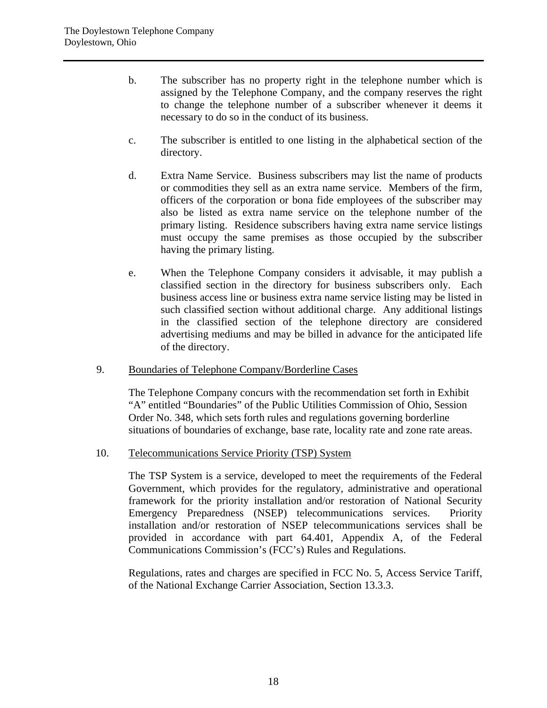- b. The subscriber has no property right in the telephone number which is assigned by the Telephone Company, and the company reserves the right to change the telephone number of a subscriber whenever it deems it necessary to do so in the conduct of its business.
- c. The subscriber is entitled to one listing in the alphabetical section of the directory.
- d. Extra Name Service. Business subscribers may list the name of products or commodities they sell as an extra name service. Members of the firm, officers of the corporation or bona fide employees of the subscriber may also be listed as extra name service on the telephone number of the primary listing. Residence subscribers having extra name service listings must occupy the same premises as those occupied by the subscriber having the primary listing.
- e. When the Telephone Company considers it advisable, it may publish a classified section in the directory for business subscribers only. Each business access line or business extra name service listing may be listed in such classified section without additional charge. Any additional listings in the classified section of the telephone directory are considered advertising mediums and may be billed in advance for the anticipated life of the directory.
- 9. Boundaries of Telephone Company/Borderline Cases

 The Telephone Company concurs with the recommendation set forth in Exhibit "A" entitled "Boundaries" of the Public Utilities Commission of Ohio, Session Order No. 348, which sets forth rules and regulations governing borderline situations of boundaries of exchange, base rate, locality rate and zone rate areas.

10. Telecommunications Service Priority (TSP) System

 The TSP System is a service, developed to meet the requirements of the Federal Government, which provides for the regulatory, administrative and operational framework for the priority installation and/or restoration of National Security Emergency Preparedness (NSEP) telecommunications services. Priority installation and/or restoration of NSEP telecommunications services shall be provided in accordance with part 64.401, Appendix A, of the Federal Communications Commission's (FCC's) Rules and Regulations.

 Regulations, rates and charges are specified in FCC No. 5, Access Service Tariff, of the National Exchange Carrier Association, Section 13.3.3.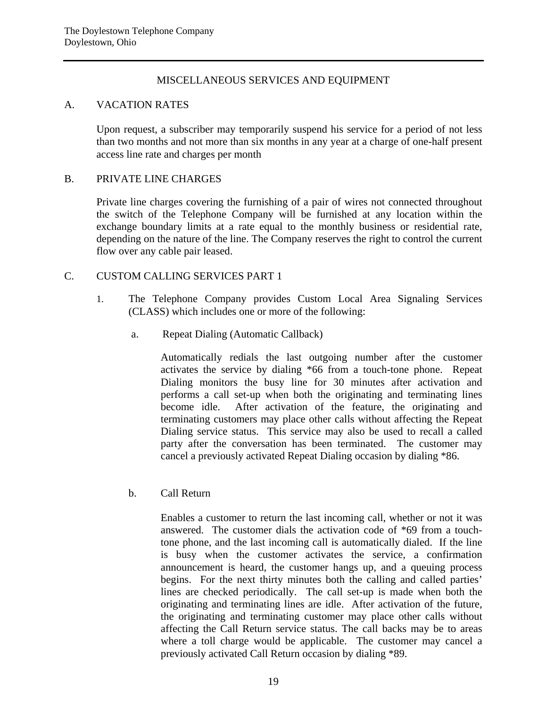# MISCELLANEOUS SERVICES AND EQUIPMENT

#### A. VACATION RATES

Upon request, a subscriber may temporarily suspend his service for a period of not less than two months and not more than six months in any year at a charge of one-half present access line rate and charges per month

# B. PRIVATE LINE CHARGES

Private line charges covering the furnishing of a pair of wires not connected throughout the switch of the Telephone Company will be furnished at any location within the exchange boundary limits at a rate equal to the monthly business or residential rate, depending on the nature of the line. The Company reserves the right to control the current flow over any cable pair leased.

# C. CUSTOM CALLING SERVICES PART 1

- 1. The Telephone Company provides Custom Local Area Signaling Services (CLASS) which includes one or more of the following:
	- a. Repeat Dialing (Automatic Callback)

Automatically redials the last outgoing number after the customer activates the service by dialing \*66 from a touch-tone phone. Repeat Dialing monitors the busy line for 30 minutes after activation and performs a call set-up when both the originating and terminating lines become idle. After activation of the feature, the originating and terminating customers may place other calls without affecting the Repeat Dialing service status. This service may also be used to recall a called party after the conversation has been terminated. The customer may cancel a previously activated Repeat Dialing occasion by dialing \*86.

b. Call Return

Enables a customer to return the last incoming call, whether or not it was answered. The customer dials the activation code of \*69 from a touchtone phone, and the last incoming call is automatically dialed. If the line is busy when the customer activates the service, a confirmation announcement is heard, the customer hangs up, and a queuing process begins. For the next thirty minutes both the calling and called parties' lines are checked periodically. The call set-up is made when both the originating and terminating lines are idle. After activation of the future, the originating and terminating customer may place other calls without affecting the Call Return service status. The call backs may be to areas where a toll charge would be applicable. The customer may cancel a previously activated Call Return occasion by dialing \*89.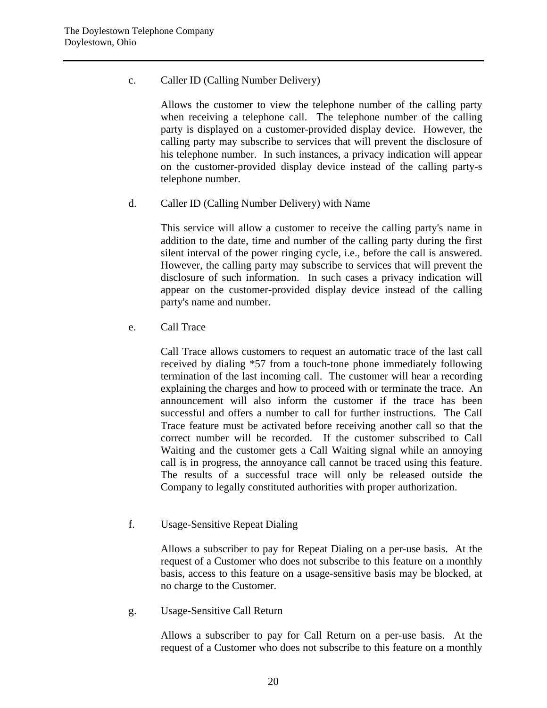c. Caller ID (Calling Number Delivery)

Allows the customer to view the telephone number of the calling party when receiving a telephone call. The telephone number of the calling party is displayed on a customer-provided display device. However, the calling party may subscribe to services that will prevent the disclosure of his telephone number. In such instances, a privacy indication will appear on the customer-provided display device instead of the calling party-s telephone number.

d. Caller ID (Calling Number Delivery) with Name

This service will allow a customer to receive the calling party's name in addition to the date, time and number of the calling party during the first silent interval of the power ringing cycle, i.e., before the call is answered. However, the calling party may subscribe to services that will prevent the disclosure of such information. In such cases a privacy indication will appear on the customer-provided display device instead of the calling party's name and number.

e. Call Trace

Call Trace allows customers to request an automatic trace of the last call received by dialing \*57 from a touch-tone phone immediately following termination of the last incoming call. The customer will hear a recording explaining the charges and how to proceed with or terminate the trace. An announcement will also inform the customer if the trace has been successful and offers a number to call for further instructions. The Call Trace feature must be activated before receiving another call so that the correct number will be recorded. If the customer subscribed to Call Waiting and the customer gets a Call Waiting signal while an annoying call is in progress, the annoyance call cannot be traced using this feature. The results of a successful trace will only be released outside the Company to legally constituted authorities with proper authorization.

f. Usage-Sensitive Repeat Dialing

Allows a subscriber to pay for Repeat Dialing on a per-use basis. At the request of a Customer who does not subscribe to this feature on a monthly basis, access to this feature on a usage-sensitive basis may be blocked, at no charge to the Customer.

g. Usage-Sensitive Call Return

Allows a subscriber to pay for Call Return on a per-use basis. At the request of a Customer who does not subscribe to this feature on a monthly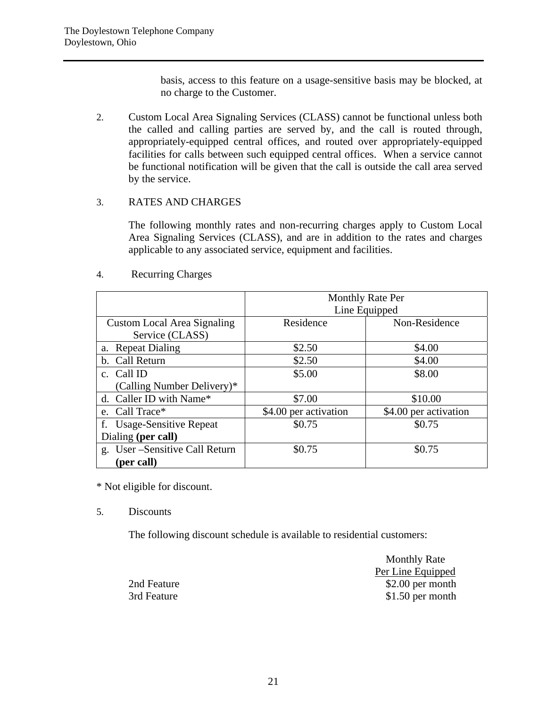basis, access to this feature on a usage-sensitive basis may be blocked, at no charge to the Customer.

2. Custom Local Area Signaling Services (CLASS) cannot be functional unless both the called and calling parties are served by, and the call is routed through, appropriately-equipped central offices, and routed over appropriately-equipped facilities for calls between such equipped central offices. When a service cannot be functional notification will be given that the call is outside the call area served by the service.

# 3. RATES AND CHARGES

The following monthly rates and non-recurring charges apply to Custom Local Area Signaling Services (CLASS), and are in addition to the rates and charges applicable to any associated service, equipment and facilities.

#### 4. Recurring Charges

|                                    | <b>Monthly Rate Per</b> |                       |  |  |
|------------------------------------|-------------------------|-----------------------|--|--|
|                                    | Line Equipped           |                       |  |  |
| <b>Custom Local Area Signaling</b> | Residence               | Non-Residence         |  |  |
| Service (CLASS)                    |                         |                       |  |  |
| a. Repeat Dialing                  | \$2.50                  | \$4.00                |  |  |
| b. Call Return                     | \$2.50                  | \$4.00                |  |  |
| c. Call ID                         | \$5.00                  | \$8.00                |  |  |
| (Calling Number Delivery)*         |                         |                       |  |  |
| d. Caller ID with Name*            | \$7.00                  | \$10.00               |  |  |
| e. Call Trace*                     | \$4.00 per activation   | \$4.00 per activation |  |  |
| f. Usage-Sensitive Repeat          | \$0.75                  | \$0.75                |  |  |
| Dialing (per call)                 |                         |                       |  |  |
| g. User-Sensitive Call Return      | \$0.75                  | \$0.75                |  |  |
| (per call)                         |                         |                       |  |  |

\* Not eligible for discount.

5. Discounts

The following discount schedule is available to residential customers:

|             | <b>Monthly Rate</b> |
|-------------|---------------------|
|             | Per Line Equipped   |
| 2nd Feature | $$2.00$ per month   |
| 3rd Feature | $$1.50$ per month   |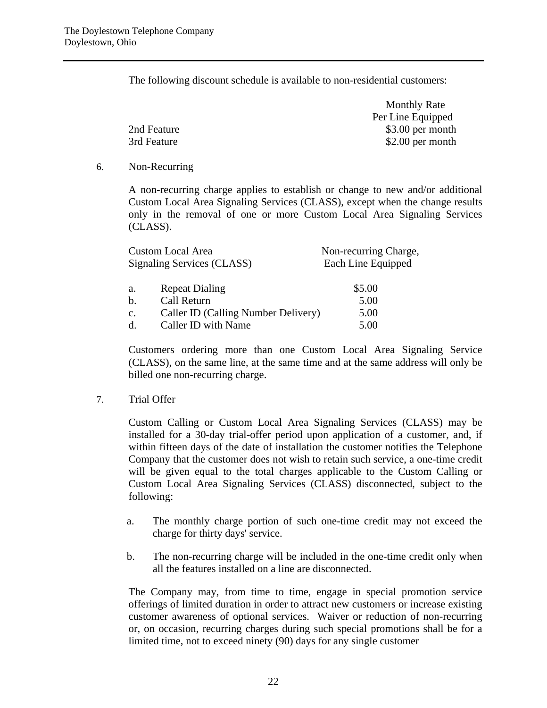The following discount schedule is available to non-residential customers:

|             | <b>Monthly Rate</b> |
|-------------|---------------------|
|             | Per Line Equipped   |
| 2nd Feature | $$3.00$ per month   |
| 3rd Feature | \$2.00 per month    |

6. Non-Recurring

A non-recurring charge applies to establish or change to new and/or additional Custom Local Area Signaling Services (CLASS), except when the change results only in the removal of one or more Custom Local Area Signaling Services (CLASS).

| <b>Custom Local Area</b>                              | Non-recurring Charge, |
|-------------------------------------------------------|-----------------------|
| Signaling Services (CLASS)                            | Each Line Equipped    |
| <b>Repeat Dialing</b><br>a.                           | \$5.00                |
| Call Return<br>b.                                     | 5.00                  |
| Caller ID (Calling Number Delivery)<br>$\mathbf{c}$ . | 5.00                  |
| Caller ID with Name<br>d.                             | 5.00                  |

Customers ordering more than one Custom Local Area Signaling Service (CLASS), on the same line, at the same time and at the same address will only be billed one non-recurring charge.

7. Trial Offer

Custom Calling or Custom Local Area Signaling Services (CLASS) may be installed for a 30-day trial-offer period upon application of a customer, and, if within fifteen days of the date of installation the customer notifies the Telephone Company that the customer does not wish to retain such service, a one-time credit will be given equal to the total charges applicable to the Custom Calling or Custom Local Area Signaling Services (CLASS) disconnected, subject to the following:

- a. The monthly charge portion of such one-time credit may not exceed the charge for thirty days' service.
- b. The non-recurring charge will be included in the one-time credit only when all the features installed on a line are disconnected.

The Company may, from time to time, engage in special promotion service offerings of limited duration in order to attract new customers or increase existing customer awareness of optional services. Waiver or reduction of non-recurring or, on occasion, recurring charges during such special promotions shall be for a limited time, not to exceed ninety (90) days for any single customer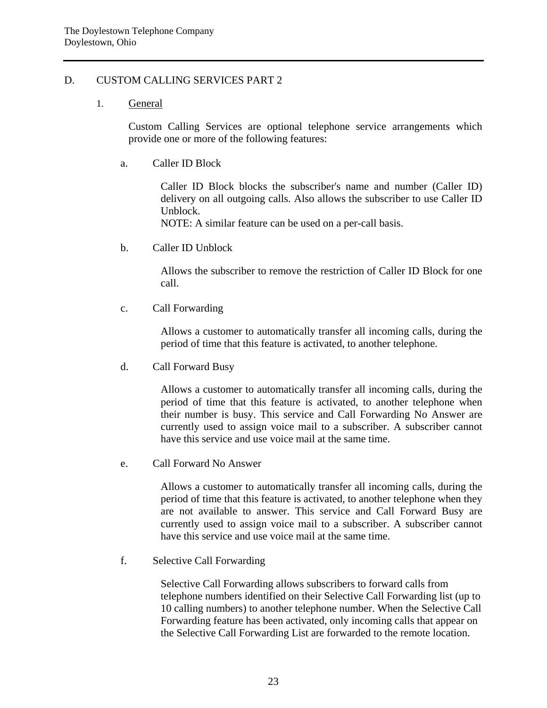#### D. CUSTOM CALLING SERVICES PART 2

#### 1. General

Custom Calling Services are optional telephone service arrangements which provide one or more of the following features:

a. Caller ID Block

Caller ID Block blocks the subscriber's name and number (Caller ID) delivery on all outgoing calls. Also allows the subscriber to use Caller ID Unblock.

NOTE: A similar feature can be used on a per-call basis.

b. Caller ID Unblock

Allows the subscriber to remove the restriction of Caller ID Block for one call.

c. Call Forwarding

Allows a customer to automatically transfer all incoming calls, during the period of time that this feature is activated, to another telephone.

d. Call Forward Busy

Allows a customer to automatically transfer all incoming calls, during the period of time that this feature is activated, to another telephone when their number is busy. This service and Call Forwarding No Answer are currently used to assign voice mail to a subscriber. A subscriber cannot have this service and use voice mail at the same time.

e. Call Forward No Answer

Allows a customer to automatically transfer all incoming calls, during the period of time that this feature is activated, to another telephone when they are not available to answer. This service and Call Forward Busy are currently used to assign voice mail to a subscriber. A subscriber cannot have this service and use voice mail at the same time.

f. Selective Call Forwarding

Selective Call Forwarding allows subscribers to forward calls from telephone numbers identified on their Selective Call Forwarding list (up to 10 calling numbers) to another telephone number. When the Selective Call Forwarding feature has been activated, only incoming calls that appear on the Selective Call Forwarding List are forwarded to the remote location.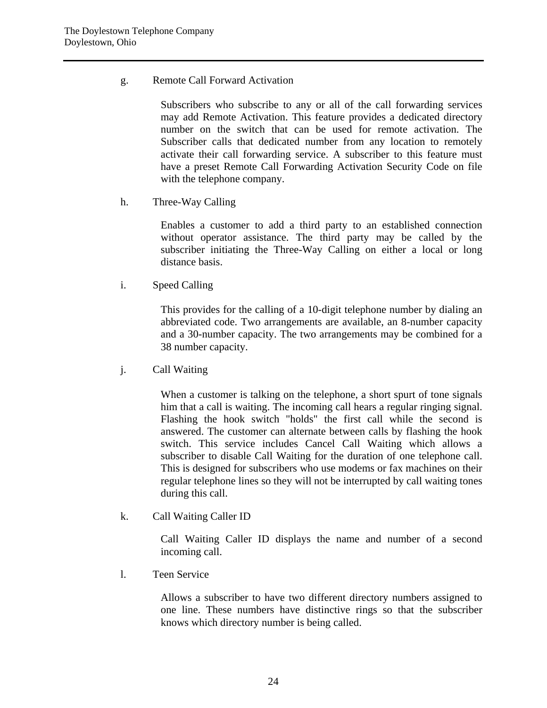g. Remote Call Forward Activation

Subscribers who subscribe to any or all of the call forwarding services may add Remote Activation. This feature provides a dedicated directory number on the switch that can be used for remote activation. The Subscriber calls that dedicated number from any location to remotely activate their call forwarding service. A subscriber to this feature must have a preset Remote Call Forwarding Activation Security Code on file with the telephone company.

h. Three-Way Calling

Enables a customer to add a third party to an established connection without operator assistance. The third party may be called by the subscriber initiating the Three-Way Calling on either a local or long distance basis.

i. Speed Calling

This provides for the calling of a 10-digit telephone number by dialing an abbreviated code. Two arrangements are available, an 8-number capacity and a 30-number capacity. The two arrangements may be combined for a 38 number capacity.

j. Call Waiting

When a customer is talking on the telephone, a short spurt of tone signals him that a call is waiting. The incoming call hears a regular ringing signal. Flashing the hook switch "holds" the first call while the second is answered. The customer can alternate between calls by flashing the hook switch. This service includes Cancel Call Waiting which allows a subscriber to disable Call Waiting for the duration of one telephone call. This is designed for subscribers who use modems or fax machines on their regular telephone lines so they will not be interrupted by call waiting tones during this call.

k. Call Waiting Caller ID

Call Waiting Caller ID displays the name and number of a second incoming call.

l. Teen Service

Allows a subscriber to have two different directory numbers assigned to one line. These numbers have distinctive rings so that the subscriber knows which directory number is being called.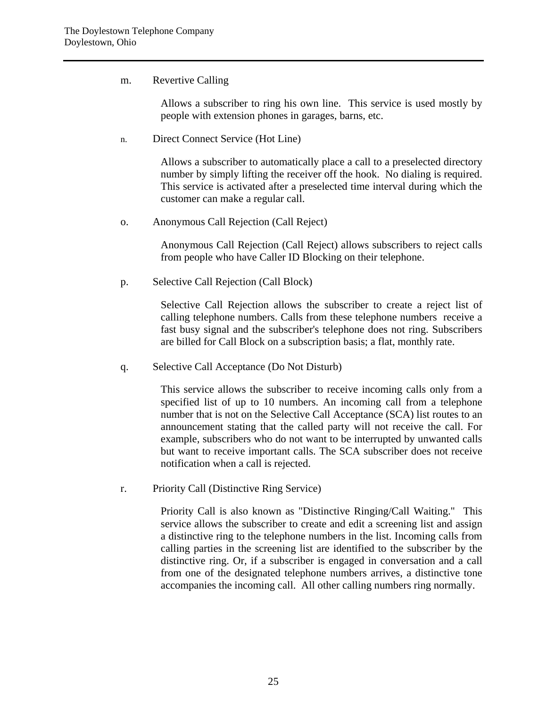# m. Revertive Calling

Allows a subscriber to ring his own line. This service is used mostly by people with extension phones in garages, barns, etc.

n. Direct Connect Service (Hot Line)

Allows a subscriber to automatically place a call to a preselected directory number by simply lifting the receiver off the hook. No dialing is required. This service is activated after a preselected time interval during which the customer can make a regular call.

o. Anonymous Call Rejection (Call Reject)

Anonymous Call Rejection (Call Reject) allows subscribers to reject calls from people who have Caller ID Blocking on their telephone.

p. Selective Call Rejection (Call Block)

Selective Call Rejection allows the subscriber to create a reject list of calling telephone numbers. Calls from these telephone numbers receive a fast busy signal and the subscriber's telephone does not ring. Subscribers are billed for Call Block on a subscription basis; a flat, monthly rate.

q. Selective Call Acceptance (Do Not Disturb)

This service allows the subscriber to receive incoming calls only from a specified list of up to 10 numbers. An incoming call from a telephone number that is not on the Selective Call Acceptance (SCA) list routes to an announcement stating that the called party will not receive the call. For example, subscribers who do not want to be interrupted by unwanted calls but want to receive important calls. The SCA subscriber does not receive notification when a call is rejected.

r. Priority Call (Distinctive Ring Service)

Priority Call is also known as "Distinctive Ringing/Call Waiting." This service allows the subscriber to create and edit a screening list and assign a distinctive ring to the telephone numbers in the list. Incoming calls from calling parties in the screening list are identified to the subscriber by the distinctive ring. Or, if a subscriber is engaged in conversation and a call from one of the designated telephone numbers arrives, a distinctive tone accompanies the incoming call. All other calling numbers ring normally.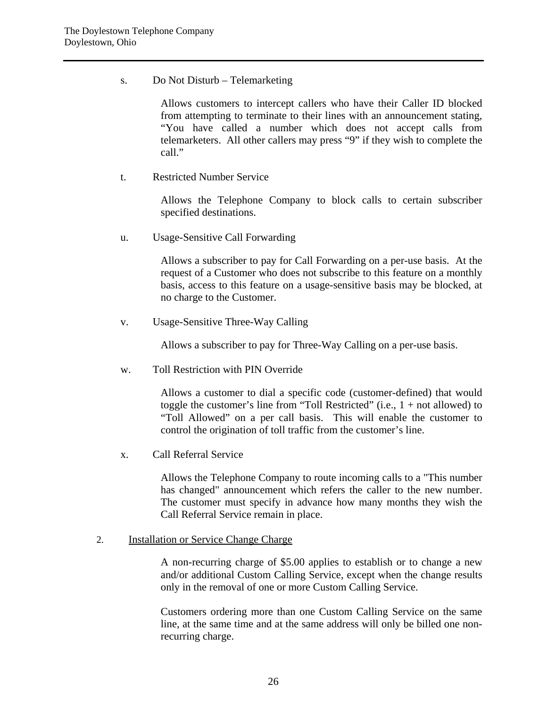s. Do Not Disturb – Telemarketing

Allows customers to intercept callers who have their Caller ID blocked from attempting to terminate to their lines with an announcement stating, "You have called a number which does not accept calls from telemarketers. All other callers may press "9" if they wish to complete the call."

t. Restricted Number Service

Allows the Telephone Company to block calls to certain subscriber specified destinations.

u. Usage-Sensitive Call Forwarding

Allows a subscriber to pay for Call Forwarding on a per-use basis. At the request of a Customer who does not subscribe to this feature on a monthly basis, access to this feature on a usage-sensitive basis may be blocked, at no charge to the Customer.

v. Usage-Sensitive Three-Way Calling

Allows a subscriber to pay for Three-Way Calling on a per-use basis.

w. Toll Restriction with PIN Override

Allows a customer to dial a specific code (customer-defined) that would toggle the customer's line from "Toll Restricted" (i.e.,  $1 + not$  allowed) to "Toll Allowed" on a per call basis. This will enable the customer to control the origination of toll traffic from the customer's line.

x. Call Referral Service

Allows the Telephone Company to route incoming calls to a "This number has changed" announcement which refers the caller to the new number. The customer must specify in advance how many months they wish the Call Referral Service remain in place.

#### 2. Installation or Service Change Charge

A non-recurring charge of \$5.00 applies to establish or to change a new and/or additional Custom Calling Service, except when the change results only in the removal of one or more Custom Calling Service.

Customers ordering more than one Custom Calling Service on the same line, at the same time and at the same address will only be billed one nonrecurring charge.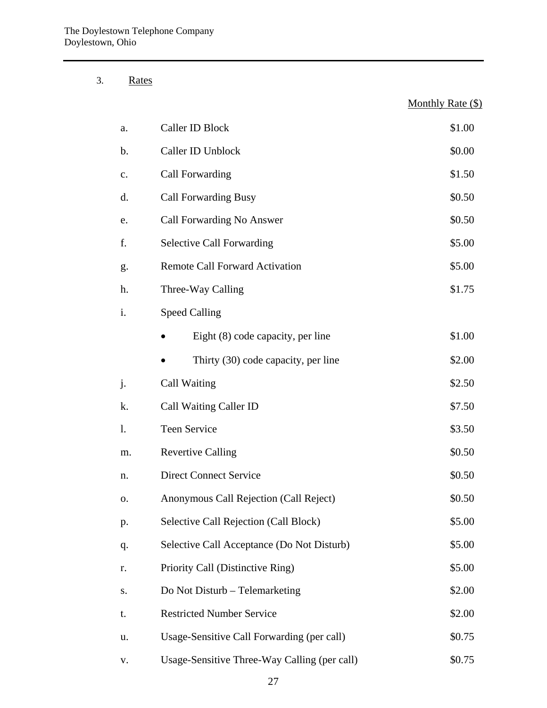3. Rates

| a. | Caller ID Block                            | \$1.00 |
|----|--------------------------------------------|--------|
| b. | Caller ID Unblock                          | \$0.00 |
| c. | Call Forwarding                            | \$1.50 |
| d. | <b>Call Forwarding Busy</b>                | \$0.50 |
| e. | Call Forwarding No Answer                  | \$0.50 |
| f. | <b>Selective Call Forwarding</b>           | \$5.00 |
| g. | <b>Remote Call Forward Activation</b>      | \$5.00 |
| h. | Three-Way Calling                          | \$1.75 |
| i. | <b>Speed Calling</b>                       |        |
|    | Eight (8) code capacity, per line          | \$1.00 |
|    | Thirty (30) code capacity, per line        | \$2.00 |
| j. | Call Waiting                               | \$2.50 |
| k. | Call Waiting Caller ID                     | \$7.50 |
| 1. | <b>Teen Service</b>                        | \$3.50 |
| m. | <b>Revertive Calling</b>                   | \$0.50 |
| n. | <b>Direct Connect Service</b>              | \$0.50 |
| О. | Anonymous Call Rejection (Call Reject)     | \$0.50 |
| p. | Selective Call Rejection (Call Block)      | \$5.00 |
| q. | Selective Call Acceptance (Do Not Disturb) | \$5.00 |
| r. | Priority Call (Distinctive Ring)           | \$5.00 |
| S. | Do Not Disturb – Telemarketing             | \$2.00 |
| t. | <b>Restricted Number Service</b>           | \$2.00 |
| u. | Usage-Sensitive Call Forwarding (per call) | \$0.75 |

Monthly Rate (\$)

v. Usage-Sensitive Three-Way Calling (per call) \$0.75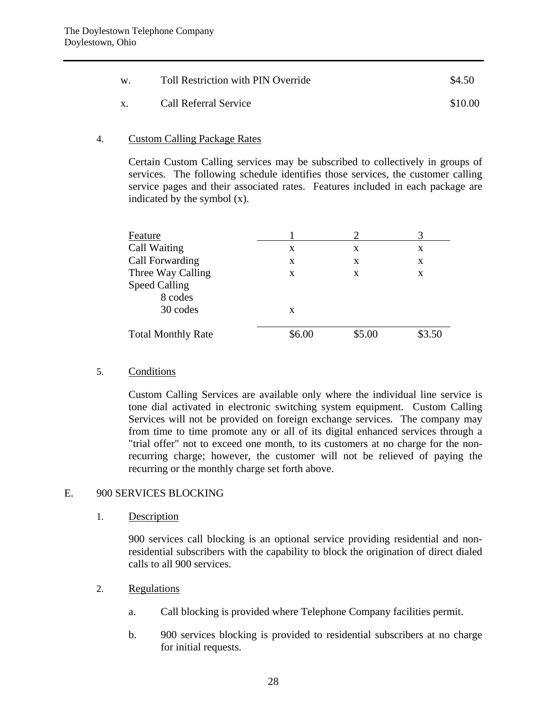| W. | <b>Toll Restriction with PIN Override</b> | \$4.50  |
|----|-------------------------------------------|---------|
|    | Call Referral Service                     | \$10.00 |

#### 4. Custom Calling Package Rates

Certain Custom Calling services may be subscribed to collectively in groups of services. The following schedule identifies those services, the customer calling service pages and their associated rates. Features included in each package are indicated by the symbol (x).

| Feature                   |        |        |        |
|---------------------------|--------|--------|--------|
| Call Waiting              | X      | X      | X      |
| Call Forwarding           | X      | X      | X      |
| Three Way Calling         | X      | X      | X      |
| <b>Speed Calling</b>      |        |        |        |
| 8 codes                   |        |        |        |
| 30 codes                  | X      |        |        |
| <b>Total Monthly Rate</b> | \$6.00 | \$5.00 | \$3.50 |

#### 5. Conditions

Custom Calling Services are available only where the individual line service is tone dial activated in electronic switching system equipment. Custom Calling Services will not be provided on foreign exchange services. The company may from time to time promote any or all of its digital enhanced services through a "trial offer" not to exceed one month, to its customers at no charge for the nonrecurring charge; however, the customer will not be relieved of paying the recurring or the monthly charge set forth above.

#### E. 900 SERVICES BLOCKING

#### 1. Description

900 services call blocking is an optional service providing residential and nonresidential subscribers with the capability to block the origination of direct dialed calls to all 900 services.

- 2. Regulations
	- a. Call blocking is provided where Telephone Company facilities permit.
	- b. 900 services blocking is provided to residential subscribers at no charge for initial requests.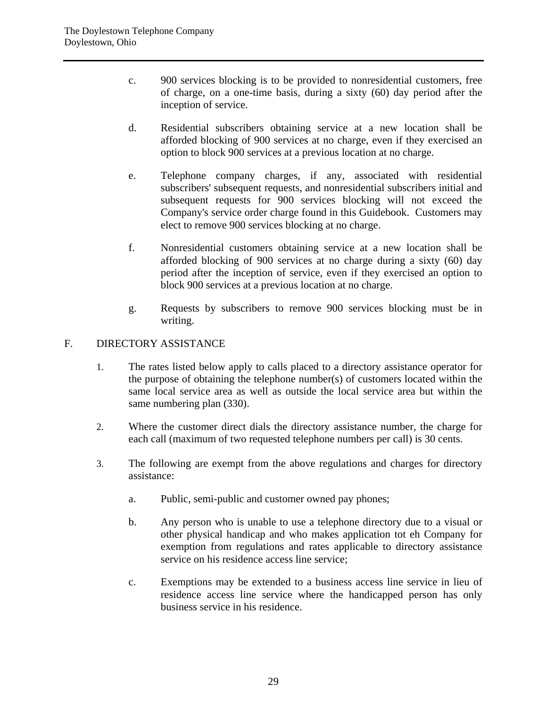- c. 900 services blocking is to be provided to nonresidential customers, free of charge, on a one-time basis, during a sixty (60) day period after the inception of service.
- d. Residential subscribers obtaining service at a new location shall be afforded blocking of 900 services at no charge, even if they exercised an option to block 900 services at a previous location at no charge.
- e. Telephone company charges, if any, associated with residential subscribers' subsequent requests, and nonresidential subscribers initial and subsequent requests for 900 services blocking will not exceed the Company's service order charge found in this Guidebook. Customers may elect to remove 900 services blocking at no charge.
- f. Nonresidential customers obtaining service at a new location shall be afforded blocking of 900 services at no charge during a sixty (60) day period after the inception of service, even if they exercised an option to block 900 services at a previous location at no charge.
- g. Requests by subscribers to remove 900 services blocking must be in writing.

# F. DIRECTORY ASSISTANCE

- 1. The rates listed below apply to calls placed to a directory assistance operator for the purpose of obtaining the telephone number(s) of customers located within the same local service area as well as outside the local service area but within the same numbering plan (330).
- 2. Where the customer direct dials the directory assistance number, the charge for each call (maximum of two requested telephone numbers per call) is 30 cents.
- 3. The following are exempt from the above regulations and charges for directory assistance:
	- a. Public, semi-public and customer owned pay phones;
	- b. Any person who is unable to use a telephone directory due to a visual or other physical handicap and who makes application tot eh Company for exemption from regulations and rates applicable to directory assistance service on his residence access line service;
	- c. Exemptions may be extended to a business access line service in lieu of residence access line service where the handicapped person has only business service in his residence.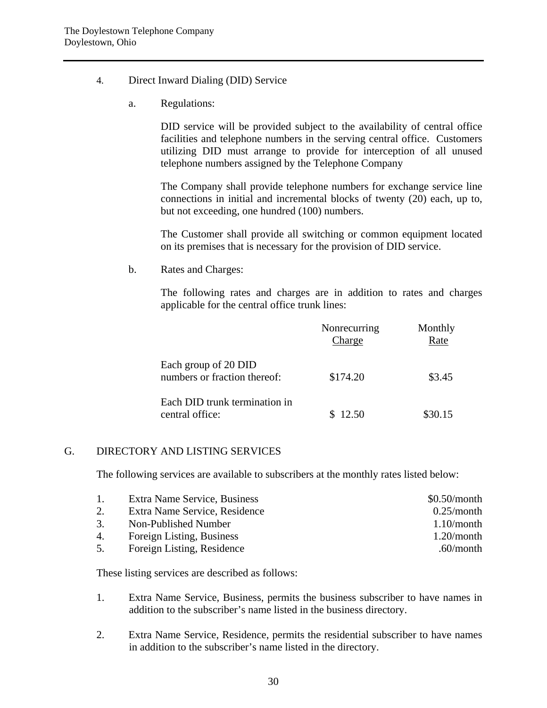- 4. Direct Inward Dialing (DID) Service
	- a. Regulations:

DID service will be provided subject to the availability of central office facilities and telephone numbers in the serving central office. Customers utilizing DID must arrange to provide for interception of all unused telephone numbers assigned by the Telephone Company

The Company shall provide telephone numbers for exchange service line connections in initial and incremental blocks of twenty (20) each, up to, but not exceeding, one hundred (100) numbers.

The Customer shall provide all switching or common equipment located on its premises that is necessary for the provision of DID service.

b. Rates and Charges:

The following rates and charges are in addition to rates and charges applicable for the central office trunk lines:

|                                                      | Nonrecurring<br>Charge | Monthly<br>Rate |
|------------------------------------------------------|------------------------|-----------------|
| Each group of 20 DID<br>numbers or fraction thereof: | \$174.20               | \$3.45          |
| Each DID trunk termination in<br>central office:     | \$12.50                | \$30.15         |

# G. DIRECTORY AND LISTING SERVICES

The following services are available to subscribers at the monthly rates listed below:

| 1. | Extra Name Service, Business  | $$0.50/m$ onth |
|----|-------------------------------|----------------|
| 2. | Extra Name Service, Residence | 0.25/month     |
| 3. | Non-Published Number          | $1.10/m$ onth  |
| 4. | Foreign Listing, Business     | 1.20/month     |
| 5. | Foreign Listing, Residence    | .60/month      |
|    |                               |                |

These listing services are described as follows:

- 1. Extra Name Service, Business, permits the business subscriber to have names in addition to the subscriber's name listed in the business directory.
- 2. Extra Name Service, Residence, permits the residential subscriber to have names in addition to the subscriber's name listed in the directory.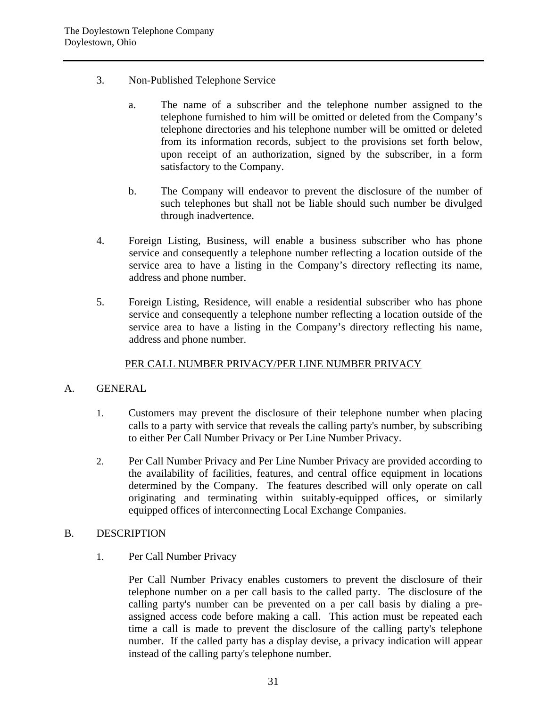- 3. Non-Published Telephone Service
	- a. The name of a subscriber and the telephone number assigned to the telephone furnished to him will be omitted or deleted from the Company's telephone directories and his telephone number will be omitted or deleted from its information records, subject to the provisions set forth below, upon receipt of an authorization, signed by the subscriber, in a form satisfactory to the Company.
	- b. The Company will endeavor to prevent the disclosure of the number of such telephones but shall not be liable should such number be divulged through inadvertence.
- 4. Foreign Listing, Business, will enable a business subscriber who has phone service and consequently a telephone number reflecting a location outside of the service area to have a listing in the Company's directory reflecting its name, address and phone number.
- 5. Foreign Listing, Residence, will enable a residential subscriber who has phone service and consequently a telephone number reflecting a location outside of the service area to have a listing in the Company's directory reflecting his name, address and phone number.

# PER CALL NUMBER PRIVACY/PER LINE NUMBER PRIVACY

# A. GENERAL

- 1. Customers may prevent the disclosure of their telephone number when placing calls to a party with service that reveals the calling party's number, by subscribing to either Per Call Number Privacy or Per Line Number Privacy.
- 2. Per Call Number Privacy and Per Line Number Privacy are provided according to the availability of facilities, features, and central office equipment in locations determined by the Company. The features described will only operate on call originating and terminating within suitably-equipped offices, or similarly equipped offices of interconnecting Local Exchange Companies.

#### B. DESCRIPTION

1. Per Call Number Privacy

Per Call Number Privacy enables customers to prevent the disclosure of their telephone number on a per call basis to the called party. The disclosure of the calling party's number can be prevented on a per call basis by dialing a preassigned access code before making a call. This action must be repeated each time a call is made to prevent the disclosure of the calling party's telephone number. If the called party has a display devise, a privacy indication will appear instead of the calling party's telephone number.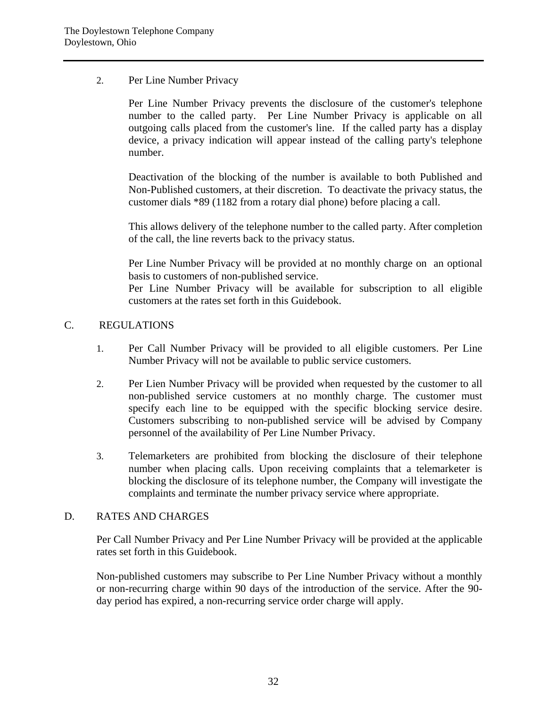# 2. Per Line Number Privacy

Per Line Number Privacy prevents the disclosure of the customer's telephone number to the called party. Per Line Number Privacy is applicable on all outgoing calls placed from the customer's line. If the called party has a display device, a privacy indication will appear instead of the calling party's telephone number.

Deactivation of the blocking of the number is available to both Published and Non-Published customers, at their discretion. To deactivate the privacy status, the customer dials \*89 (1182 from a rotary dial phone) before placing a call.

This allows delivery of the telephone number to the called party. After completion of the call, the line reverts back to the privacy status.

Per Line Number Privacy will be provided at no monthly charge on an optional basis to customers of non-published service.

Per Line Number Privacy will be available for subscription to all eligible customers at the rates set forth in this Guidebook.

# C. REGULATIONS

- 1. Per Call Number Privacy will be provided to all eligible customers. Per Line Number Privacy will not be available to public service customers.
- 2. Per Lien Number Privacy will be provided when requested by the customer to all non-published service customers at no monthly charge. The customer must specify each line to be equipped with the specific blocking service desire. Customers subscribing to non-published service will be advised by Company personnel of the availability of Per Line Number Privacy.
- 3. Telemarketers are prohibited from blocking the disclosure of their telephone number when placing calls. Upon receiving complaints that a telemarketer is blocking the disclosure of its telephone number, the Company will investigate the complaints and terminate the number privacy service where appropriate.

#### D. RATES AND CHARGES

Per Call Number Privacy and Per Line Number Privacy will be provided at the applicable rates set forth in this Guidebook.

Non-published customers may subscribe to Per Line Number Privacy without a monthly or non-recurring charge within 90 days of the introduction of the service. After the 90 day period has expired, a non-recurring service order charge will apply.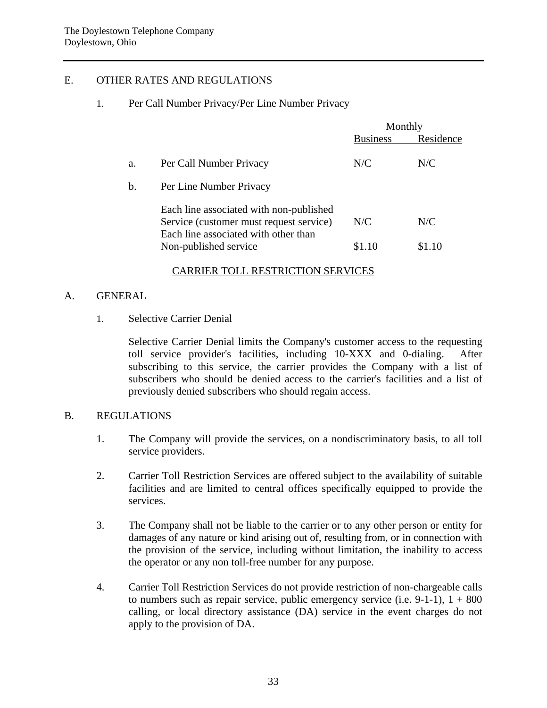# E. OTHER RATES AND REGULATIONS

#### 1. Per Call Number Privacy/Per Line Number Privacy

|    |                                                                                                                            | Monthly         |           |
|----|----------------------------------------------------------------------------------------------------------------------------|-----------------|-----------|
|    |                                                                                                                            | <b>Business</b> | Residence |
| a. | Per Call Number Privacy                                                                                                    | N/C             | N/C       |
| b. | Per Line Number Privacy                                                                                                    |                 |           |
|    | Each line associated with non-published<br>Service (customer must request service)<br>Each line associated with other than | N/C             | N/C       |
|    | Non-published service                                                                                                      | \$1.10          | \$1.10    |

#### CARRIER TOLL RESTRICTION SERVICES

#### A. GENERAL

#### 1. Selective Carrier Denial

Selective Carrier Denial limits the Company's customer access to the requesting toll service provider's facilities, including 10-XXX and 0-dialing. After subscribing to this service, the carrier provides the Company with a list of subscribers who should be denied access to the carrier's facilities and a list of previously denied subscribers who should regain access.

#### B. REGULATIONS

- 1. The Company will provide the services, on a nondiscriminatory basis, to all toll service providers.
- 2. Carrier Toll Restriction Services are offered subject to the availability of suitable facilities and are limited to central offices specifically equipped to provide the services.
- 3. The Company shall not be liable to the carrier or to any other person or entity for damages of any nature or kind arising out of, resulting from, or in connection with the provision of the service, including without limitation, the inability to access the operator or any non toll-free number for any purpose.
- 4. Carrier Toll Restriction Services do not provide restriction of non-chargeable calls to numbers such as repair service, public emergency service (i.e.  $9-1-1$ ),  $1 + 800$ calling, or local directory assistance (DA) service in the event charges do not apply to the provision of DA.